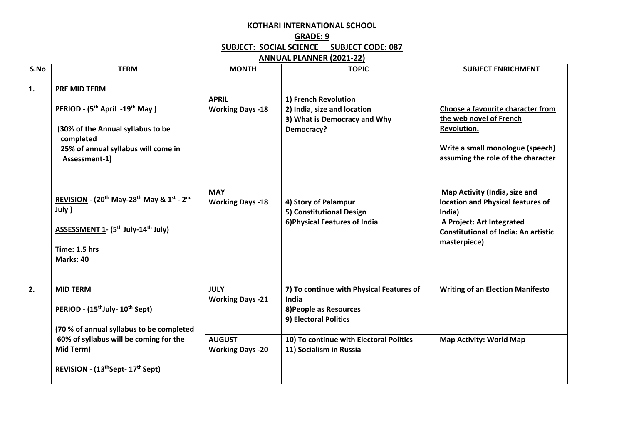## **KOTHARI INTERNATIONAL SCHOOL**

## **GRADE: 9 SUBJECT: SOCIAL SCIENCE SUBJECT CODE: 087**

## **ANNUAL PLANNER (2021-22)**

| S.No | <b>TERM</b>                                                                                                                                                                                                       | <b>MONTH</b>                             | <b>TOPIC</b>                                                                                         | <b>SUBJECT ENRICHMENT</b>                                                                                                                                                |
|------|-------------------------------------------------------------------------------------------------------------------------------------------------------------------------------------------------------------------|------------------------------------------|------------------------------------------------------------------------------------------------------|--------------------------------------------------------------------------------------------------------------------------------------------------------------------------|
| 1.   | PRE MID TERM<br>PERIOD - (5 <sup>th</sup> April -19 <sup>th</sup> May)<br>(30% of the Annual syllabus to be<br>completed<br>25% of annual syllabus will come in<br>Assessment-1)                                  | <b>APRIL</b><br><b>Working Days -18</b>  | 1) French Revolution<br>2) India, size and location<br>3) What is Democracy and Why<br>Democracy?    | Choose a favourite character from<br>the web novel of French<br>Revolution.<br>Write a small monologue (speech)<br>assuming the role of the character                    |
|      | REVISION - (20 <sup>th</sup> May-28 <sup>th</sup> May & 1 <sup>st</sup> - 2 <sup>nd</sup><br>July )<br><b>ASSESSMENT 1- (5th July-14th July)</b><br>Time: 1.5 hrs<br>Marks: 40                                    | <b>MAY</b><br><b>Working Days -18</b>    | 4) Story of Palampur<br>5) Constitutional Design<br>6) Physical Features of India                    | Map Activity (India, size and<br>location and Physical features of<br>India)<br>A Project: Art Integrated<br><b>Constitutional of India: An artistic</b><br>masterpiece) |
| 2.   | <b>MID TERM</b><br>PERIOD - (15 <sup>th</sup> July- 10 <sup>th</sup> Sept)<br>(70 % of annual syllabus to be completed<br>60% of syllabus will be coming for the<br>Mid Term)<br>REVISION - (13th Sept-17th Sept) | <b>JULY</b><br><b>Working Days -21</b>   | 7) To continue with Physical Features of<br>India<br>8) People as Resources<br>9) Electoral Politics | <b>Writing of an Election Manifesto</b>                                                                                                                                  |
|      |                                                                                                                                                                                                                   | <b>AUGUST</b><br><b>Working Days -20</b> | 10) To continue with Electoral Politics<br>11) Socialism in Russia                                   | <b>Map Activity: World Map</b>                                                                                                                                           |